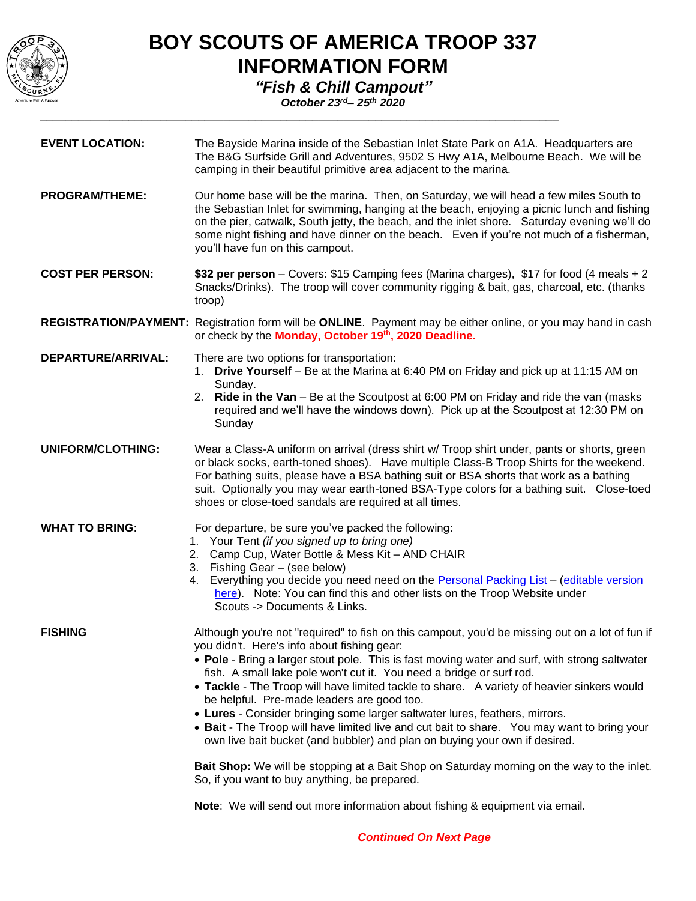

## **BOY SCOUTS OF AMERICA TROOP 337 INFORMATION FORM**

*"Fish & Chill Campout"*

*\_\_\_\_\_\_\_\_\_\_\_\_\_\_\_\_\_\_\_\_\_\_\_\_\_\_\_\_\_\_\_\_\_\_\_\_\_\_\_\_\_\_\_\_\_\_\_\_\_\_\_\_\_\_\_\_\_\_\_\_\_\_\_\_\_\_\_\_\_\_\_\_\_\_\_\_\_\_\_\_\_\_*

*October 23rd– 25th 2020*

| The Bayside Marina inside of the Sebastian Inlet State Park on A1A. Headquarters are<br>The B&G Surfside Grill and Adventures, 9502 S Hwy A1A, Melbourne Beach. We will be<br>camping in their beautiful primitive area adjacent to the marina.                                                                                                                                                                                                                                                                                                                                                                                                                                                                                                                                                                                                                                                                                                                |
|----------------------------------------------------------------------------------------------------------------------------------------------------------------------------------------------------------------------------------------------------------------------------------------------------------------------------------------------------------------------------------------------------------------------------------------------------------------------------------------------------------------------------------------------------------------------------------------------------------------------------------------------------------------------------------------------------------------------------------------------------------------------------------------------------------------------------------------------------------------------------------------------------------------------------------------------------------------|
| Our home base will be the marina. Then, on Saturday, we will head a few miles South to<br>the Sebastian Inlet for swimming, hanging at the beach, enjoying a picnic lunch and fishing<br>on the pier, catwalk, South jetty, the beach, and the inlet shore. Saturday evening we'll do<br>some night fishing and have dinner on the beach. Even if you're not much of a fisherman,<br>you'll have fun on this campout.                                                                                                                                                                                                                                                                                                                                                                                                                                                                                                                                          |
| \$32 per person – Covers: \$15 Camping fees (Marina charges), \$17 for food (4 meals + 2<br>Snacks/Drinks). The troop will cover community rigging & bait, gas, charcoal, etc. (thanks<br>troop)                                                                                                                                                                                                                                                                                                                                                                                                                                                                                                                                                                                                                                                                                                                                                               |
| REGISTRATION/PAYMENT: Registration form will be ONLINE. Payment may be either online, or you may hand in cash<br>or check by the Monday, October 19th, 2020 Deadline.                                                                                                                                                                                                                                                                                                                                                                                                                                                                                                                                                                                                                                                                                                                                                                                          |
| There are two options for transportation:<br>1. Drive Yourself - Be at the Marina at 6:40 PM on Friday and pick up at 11:15 AM on<br>Sunday.<br>2. Ride in the Van - Be at the Scoutpost at 6:00 PM on Friday and ride the van (masks<br>required and we'll have the windows down). Pick up at the Scoutpost at 12:30 PM on<br>Sunday                                                                                                                                                                                                                                                                                                                                                                                                                                                                                                                                                                                                                          |
| Wear a Class-A uniform on arrival (dress shirt w/ Troop shirt under, pants or shorts, green<br>or black socks, earth-toned shoes). Have multiple Class-B Troop Shirts for the weekend.<br>For bathing suits, please have a BSA bathing suit or BSA shorts that work as a bathing<br>suit. Optionally you may wear earth-toned BSA-Type colors for a bathing suit. Close-toed<br>shoes or close-toed sandals are required at all times.                                                                                                                                                                                                                                                                                                                                                                                                                                                                                                                         |
| For departure, be sure you've packed the following:<br>1. Your Tent (if you signed up to bring one)<br>2. Camp Cup, Water Bottle & Mess Kit - AND CHAIR<br>3. Fishing Gear - (see below)<br>Everything you decide you need need on the Personal Packing List - (editable version<br>4.<br>here). Note: You can find this and other lists on the Troop Website under<br>Scouts -> Documents & Links.                                                                                                                                                                                                                                                                                                                                                                                                                                                                                                                                                            |
| Although you're not "required" to fish on this campout, you'd be missing out on a lot of fun if<br>you didn't. Here's info about fishing gear:<br>• Pole - Bring a larger stout pole. This is fast moving water and surf, with strong saltwater<br>fish. A small lake pole won't cut it. You need a bridge or surf rod.<br>• Tackle - The Troop will have limited tackle to share. A variety of heavier sinkers would<br>be helpful. Pre-made leaders are good too.<br>• Lures - Consider bringing some larger saltwater lures, feathers, mirrors.<br>• Bait - The Troop will have limited live and cut bait to share. You may want to bring your<br>own live bait bucket (and bubbler) and plan on buying your own if desired.<br>Bait Shop: We will be stopping at a Bait Shop on Saturday morning on the way to the inlet.<br>So, if you want to buy anything, be prepared.<br>Note: We will send out more information about fishing & equipment via email. |
|                                                                                                                                                                                                                                                                                                                                                                                                                                                                                                                                                                                                                                                                                                                                                                                                                                                                                                                                                                |

*Continued On Next Page*